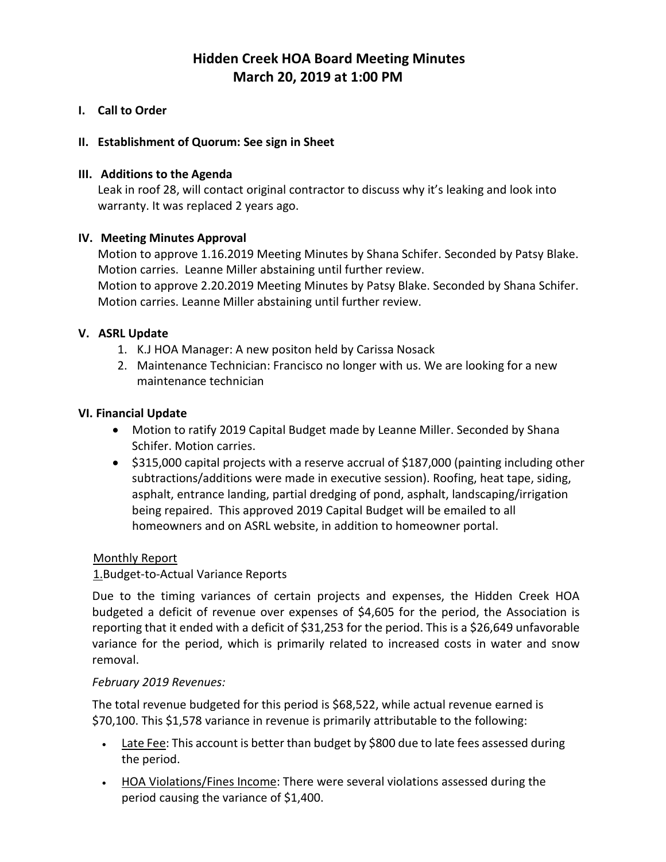# **Hidden Creek HOA Board Meeting Minutes March 20, 2019 at 1:00 PM**

#### **I. Call to Order**

#### **II. Establishment of Quorum: See sign in Sheet**

#### **III. Additions to the Agenda**

Leak in roof 28, will contact original contractor to discuss why it's leaking and look into warranty. It was replaced 2 years ago.

#### **IV. Meeting Minutes Approval**

Motion to approve 1.16.2019 Meeting Minutes by Shana Schifer. Seconded by Patsy Blake. Motion carries. Leanne Miller abstaining until further review. Motion to approve 2.20.2019 Meeting Minutes by Patsy Blake. Seconded by Shana Schifer. Motion carries. Leanne Miller abstaining until further review.

#### **V. ASRL Update**

- 1. K.J HOA Manager: A new positon held by Carissa Nosack
- 2. Maintenance Technician: Francisco no longer with us. We are looking for a new maintenance technician

#### **VI. Financial Update**

- Motion to ratify 2019 Capital Budget made by Leanne Miller. Seconded by Shana Schifer. Motion carries.
- \$315,000 capital projects with a reserve accrual of \$187,000 (painting including other subtractions/additions were made in executive session). Roofing, heat tape, siding, asphalt, entrance landing, partial dredging of pond, asphalt, landscaping/irrigation being repaired. This approved 2019 Capital Budget will be emailed to all homeowners and on ASRL website, in addition to homeowner portal.

#### Monthly Report

### 1.Budget-to-Actual Variance Reports

Due to the timing variances of certain projects and expenses, the Hidden Creek HOA budgeted a deficit of revenue over expenses of \$4,605 for the period, the Association is reporting that it ended with a deficit of \$31,253 for the period. This is a \$26,649 unfavorable variance for the period, which is primarily related to increased costs in water and snow removal.

#### *February 2019 Revenues:*

The total revenue budgeted for this period is \$68,522, while actual revenue earned is \$70,100. This \$1,578 variance in revenue is primarily attributable to the following:

- Late Fee: This account is better than budget by \$800 due to late fees assessed during the period.
- HOA Violations/Fines Income: There were several violations assessed during the period causing the variance of \$1,400.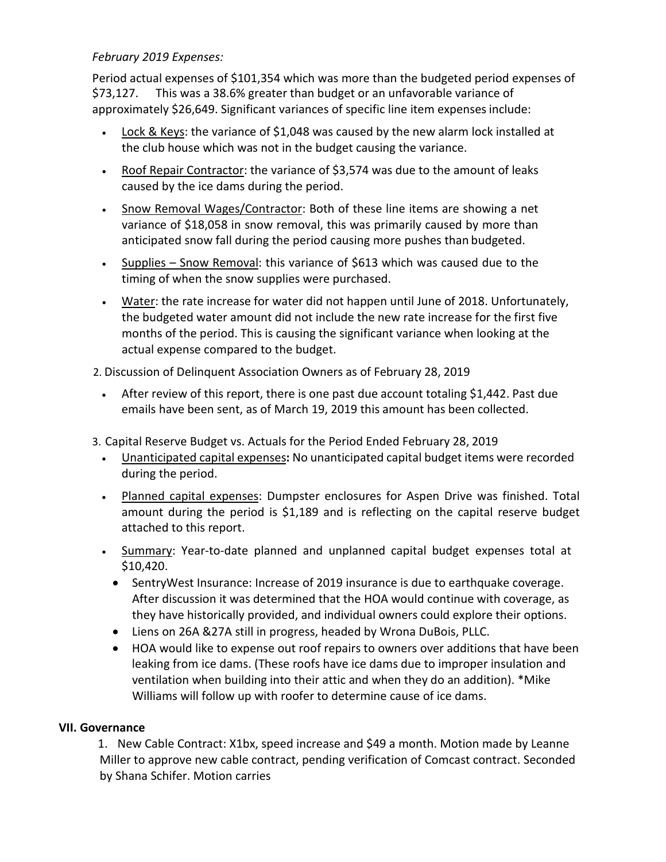### *February 2019 Expenses:*

Period actual expenses of \$101,354 which was more than the budgeted period expenses of \$73,127. This was a 38.6% greater than budget or an unfavorable variance of approximately \$26,649. Significant variances of specific line item expensesinclude:

- Lock & Keys: the variance of \$1,048 was caused by the new alarm lock installed at the club house which was not in the budget causing the variance.
- Roof Repair Contractor: the variance of \$3,574 was due to the amount of leaks caused by the ice dams during the period.
- Snow Removal Wages/Contractor: Both of these line items are showing a net variance of \$18,058 in snow removal, this was primarily caused by more than anticipated snow fall during the period causing more pushes than budgeted.
- Supplies Snow Removal: this variance of \$613 which was caused due to the timing of when the snow supplies were purchased.
- Water: the rate increase for water did not happen until June of 2018. Unfortunately, the budgeted water amount did not include the new rate increase for the first five months of the period. This is causing the significant variance when looking at the actual expense compared to the budget.
- 2. Discussion of Delinquent Association Owners as of February 28, 2019
	- After review of this report, there is one past due account totaling \$1,442. Past due emails have been sent, as of March 19, 2019 this amount has been collected.
- 3. Capital Reserve Budget vs. Actuals for the Period Ended February 28, 2019
	- Unanticipated capital expenses**:** No unanticipated capital budget items were recorded during the period.
	- Planned capital expenses: Dumpster enclosures for Aspen Drive was finished. Total amount during the period is \$1,189 and is reflecting on the capital reserve budget attached to this report.
	- Summary: Year-to-date planned and unplanned capital budget expenses total at \$10,420.
		- SentryWest Insurance: Increase of 2019 insurance is due to earthquake coverage. After discussion it was determined that the HOA would continue with coverage, as they have historically provided, and individual owners could explore their options.
		- Liens on 26A &27A still in progress, headed by Wrona DuBois, PLLC.
		- HOA would like to expense out roof repairs to owners over additions that have been leaking from ice dams. (These roofs have ice dams due to improper insulation and ventilation when building into their attic and when they do an addition). \*Mike Williams will follow up with roofer to determine cause of ice dams.

### **VII. Governance**

1. New Cable Contract: X1bx, speed increase and \$49 a month. Motion made by Leanne Miller to approve new cable contract, pending verification of Comcast contract. Seconded by Shana Schifer. Motion carries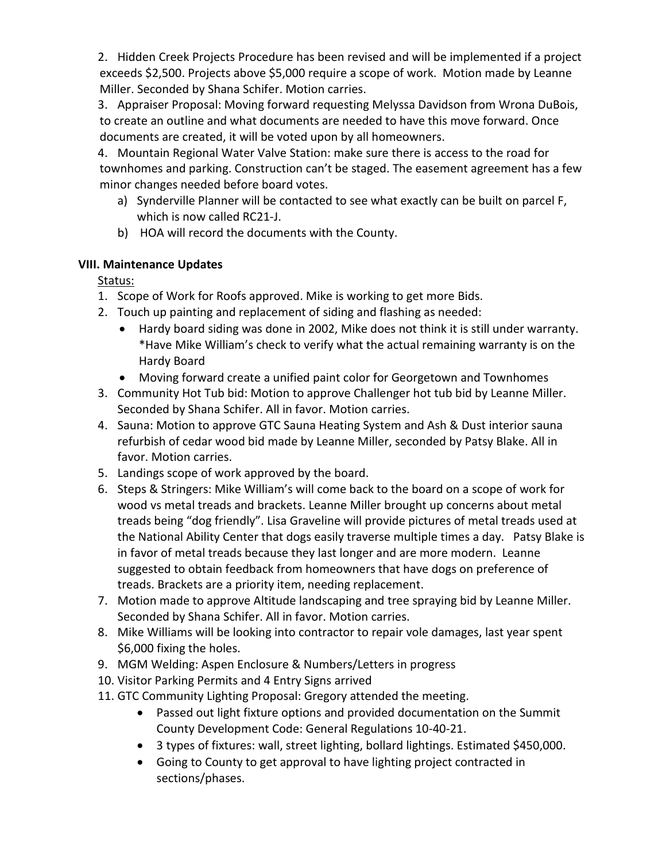2. Hidden Creek Projects Procedure has been revised and will be implemented if a project exceeds \$2,500. Projects above \$5,000 require a scope of work. Motion made by Leanne Miller. Seconded by Shana Schifer. Motion carries.

3. Appraiser Proposal: Moving forward requesting Melyssa Davidson from Wrona DuBois, to create an outline and what documents are needed to have this move forward. Once documents are created, it will be voted upon by all homeowners.

4. Mountain Regional Water Valve Station: make sure there is access to the road for townhomes and parking. Construction can't be staged. The easement agreement has a few minor changes needed before board votes.

- a) Synderville Planner will be contacted to see what exactly can be built on parcel F, which is now called RC21-J.
- b) HOA will record the documents with the County.

## **VIII. Maintenance Updates**

Status:

- 1. Scope of Work for Roofs approved. Mike is working to get more Bids.
- 2. Touch up painting and replacement of siding and flashing as needed:
	- Hardy board siding was done in 2002, Mike does not think it is still under warranty. \*Have Mike William's check to verify what the actual remaining warranty is on the Hardy Board
	- Moving forward create a unified paint color for Georgetown and Townhomes
- 3. Community Hot Tub bid: Motion to approve Challenger hot tub bid by Leanne Miller. Seconded by Shana Schifer. All in favor. Motion carries.
- 4. Sauna: Motion to approve GTC Sauna Heating System and Ash & Dust interior sauna refurbish of cedar wood bid made by Leanne Miller, seconded by Patsy Blake. All in favor. Motion carries.
- 5. Landings scope of work approved by the board.
- 6. Steps & Stringers: Mike William's will come back to the board on a scope of work for wood vs metal treads and brackets. Leanne Miller brought up concerns about metal treads being "dog friendly". Lisa Graveline will provide pictures of metal treads used at the National Ability Center that dogs easily traverse multiple times a day. Patsy Blake is in favor of metal treads because they last longer and are more modern. Leanne suggested to obtain feedback from homeowners that have dogs on preference of treads. Brackets are a priority item, needing replacement.
- 7. Motion made to approve Altitude landscaping and tree spraying bid by Leanne Miller. Seconded by Shana Schifer. All in favor. Motion carries.
- 8. Mike Williams will be looking into contractor to repair vole damages, last year spent \$6,000 fixing the holes.
- 9. MGM Welding: Aspen Enclosure & Numbers/Letters in progress
- 10. Visitor Parking Permits and 4 Entry Signs arrived
- 11. GTC Community Lighting Proposal: Gregory attended the meeting.
	- Passed out light fixture options and provided documentation on the Summit County Development Code: General Regulations 10-40-21.
	- 3 types of fixtures: wall, street lighting, bollard lightings. Estimated \$450,000.
	- Going to County to get approval to have lighting project contracted in sections/phases.